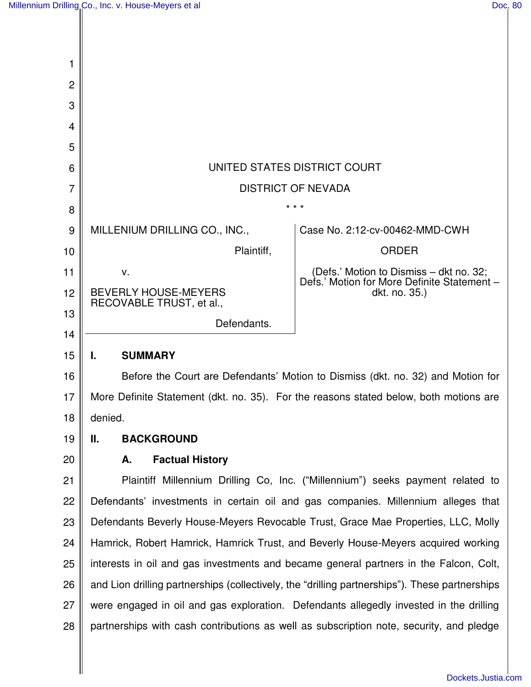$\overline{\phantom{a}}$ 

 $\mathsf{I}$ 

 $\mathsf{I}$ 

| 1              |                                                                                                |                                                                                        |
|----------------|------------------------------------------------------------------------------------------------|----------------------------------------------------------------------------------------|
| $\overline{2}$ |                                                                                                |                                                                                        |
| 3              |                                                                                                |                                                                                        |
| 4              |                                                                                                |                                                                                        |
| 5              |                                                                                                |                                                                                        |
| 6              | UNITED STATES DISTRICT COURT                                                                   |                                                                                        |
| $\overline{7}$ | <b>DISTRICT OF NEVADA</b>                                                                      |                                                                                        |
| 8              | * * *                                                                                          |                                                                                        |
| 9              | MILLENIUM DRILLING CO., INC.,                                                                  | Case No. 2:12-cv-00462-MMD-CWH                                                         |
| 10             | Plaintiff,                                                                                     | <b>ORDER</b>                                                                           |
| 11             | v.                                                                                             | (Defs.' Motion to Dismiss - dkt no. 32;<br>Defs.' Motion for More Definite Statement - |
| 12             | <b>BEVERLY HOUSE-MEYERS</b><br>RECOVABLE TRUST, et al.,                                        | dkt. no. 35.)                                                                          |
| 13             | Defendants.                                                                                    |                                                                                        |
| 14             |                                                                                                |                                                                                        |
| 15             | <b>SUMMARY</b><br>L.                                                                           |                                                                                        |
| 16             | Before the Court are Defendants' Motion to Dismiss (dkt. no. 32) and Motion for                |                                                                                        |
| 17             | More Definite Statement (dkt. no. 35). For the reasons stated below, both motions are          |                                                                                        |
| 18             | denied.                                                                                        |                                                                                        |
| 19             | Ш.<br><b>BACKGROUND</b>                                                                        |                                                                                        |
| 20             | <b>Factual History</b><br>А.                                                                   |                                                                                        |
| 21             | Plaintiff Millennium Drilling Co, Inc. ("Millennium") seeks payment related to                 |                                                                                        |
| 22             | Defendants' investments in certain oil and gas companies. Millennium alleges that              |                                                                                        |
| 23             | Defendants Beverly House-Meyers Revocable Trust, Grace Mae Properties, LLC, Molly              |                                                                                        |
| 24             | Hamrick, Robert Hamrick, Hamrick Trust, and Beverly House-Meyers acquired working              |                                                                                        |
| 25             | interests in oil and gas investments and became general partners in the Falcon, Colt,          |                                                                                        |
| 26             | and Lion drilling partnerships (collectively, the "drilling partnerships"). These partnerships |                                                                                        |
| 27             | were engaged in oil and gas exploration. Defendants allegedly invested in the drilling         |                                                                                        |
| 28             | partnerships with cash contributions as well as subscription note, security, and pledge        |                                                                                        |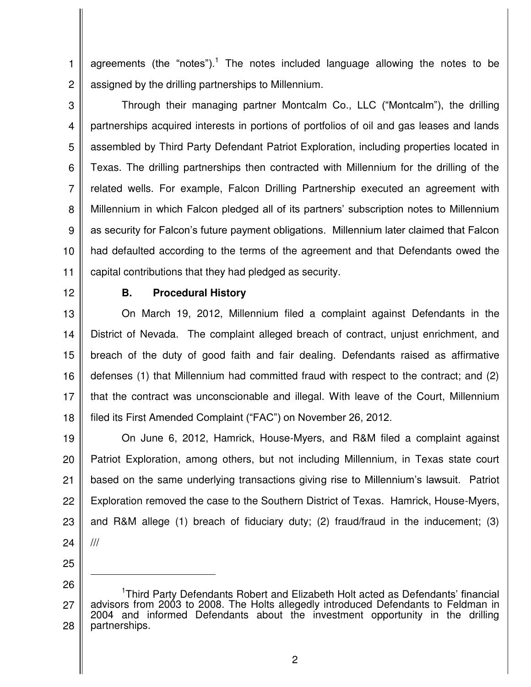1 2 agreements (the "notes").<sup>1</sup> The notes included language allowing the notes to be assigned by the drilling partnerships to Millennium.

3

4 5 6 7 8 9 10 11 Through their managing partner Montcalm Co., LLC ("Montcalm"), the drilling partnerships acquired interests in portions of portfolios of oil and gas leases and lands assembled by Third Party Defendant Patriot Exploration, including properties located in Texas. The drilling partnerships then contracted with Millennium for the drilling of the related wells. For example, Falcon Drilling Partnership executed an agreement with Millennium in which Falcon pledged all of its partners' subscription notes to Millennium as security for Falcon's future payment obligations. Millennium later claimed that Falcon had defaulted according to the terms of the agreement and that Defendants owed the capital contributions that they had pledged as security.

12

## **B. Procedural History**

13 14 15 16 17 18 On March 19, 2012, Millennium filed a complaint against Defendants in the District of Nevada. The complaint alleged breach of contract, unjust enrichment, and breach of the duty of good faith and fair dealing. Defendants raised as affirmative defenses (1) that Millennium had committed fraud with respect to the contract; and (2) that the contract was unconscionable and illegal. With leave of the Court, Millennium filed its First Amended Complaint ("FAC") on November 26, 2012.

19 20 21 22 23 24 On June 6, 2012, Hamrick, House-Myers, and R&M filed a complaint against Patriot Exploration, among others, but not including Millennium, in Texas state court based on the same underlying transactions giving rise to Millennium's lawsuit. Patriot Exploration removed the case to the Southern District of Texas. Hamrick, House-Myers, and R&M allege (1) breach of fiduciary duty; (2) fraud/fraud in the inducement; (3) ///

25

 $\overline{a}$ 

26

<sup>27</sup> 28 <sup>1</sup>Third Party Defendants Robert and Elizabeth Holt acted as Defendants' financial advisors from 2003 to 2008. The Holts allegedly introduced Defendants to Feldman in 2004 and informed Defendants about the investment opportunity in the drilling partnerships.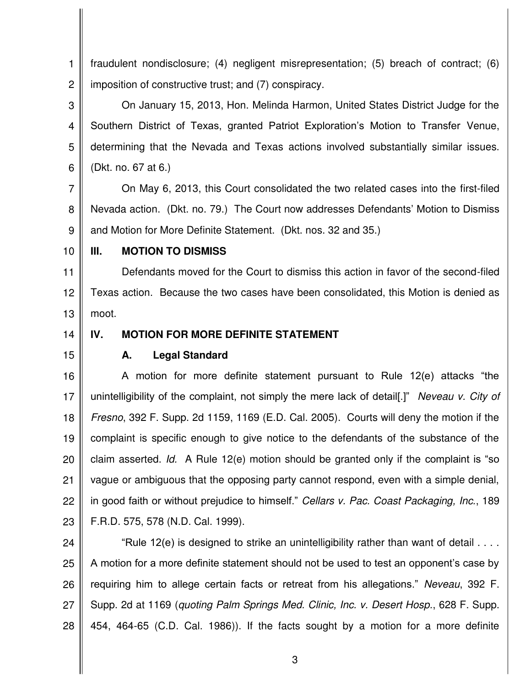1 2 fraudulent nondisclosure; (4) negligent misrepresentation; (5) breach of contract; (6) imposition of constructive trust; and (7) conspiracy.

3 4 5 6 On January 15, 2013, Hon. Melinda Harmon, United States District Judge for the Southern District of Texas, granted Patriot Exploration's Motion to Transfer Venue, determining that the Nevada and Texas actions involved substantially similar issues. (Dkt. no. 67 at 6.)

7 8 9 On May 6, 2013, this Court consolidated the two related cases into the first-filed Nevada action. (Dkt. no. 79.) The Court now addresses Defendants' Motion to Dismiss and Motion for More Definite Statement. (Dkt. nos. 32 and 35.)

10

### **III. MOTION TO DISMISS**

11 12 13 Defendants moved for the Court to dismiss this action in favor of the second-filed Texas action. Because the two cases have been consolidated, this Motion is denied as moot.

14

# **IV. MOTION FOR MORE DEFINITE STATEMENT**

15

### **A. Legal Standard**

16 17 18 19 20 21 22 23 A motion for more definite statement pursuant to Rule 12(e) attacks "the unintelligibility of the complaint, not simply the mere lack of detail[.]" *Neveau v. City of Fresno*, 392 F. Supp. 2d 1159, 1169 (E.D. Cal. 2005). Courts will deny the motion if the complaint is specific enough to give notice to the defendants of the substance of the claim asserted. *Id.* A Rule 12(e) motion should be granted only if the complaint is "so vague or ambiguous that the opposing party cannot respond, even with a simple denial, in good faith or without prejudice to himself." *Cellars v. Pac. Coast Packaging, Inc.*, 189 F.R.D. 575, 578 (N.D. Cal. 1999).

24 25 26 27 28 "Rule 12(e) is designed to strike an unintelligibility rather than want of detail . . . . A motion for a more definite statement should not be used to test an opponent's case by requiring him to allege certain facts or retreat from his allegations." *Neveau*, 392 F. Supp. 2d at 1169 (*quoting Palm Springs Med. Clinic, Inc. v. Desert Hosp.*, 628 F. Supp. 454, 464-65 (C.D. Cal. 1986)). If the facts sought by a motion for a more definite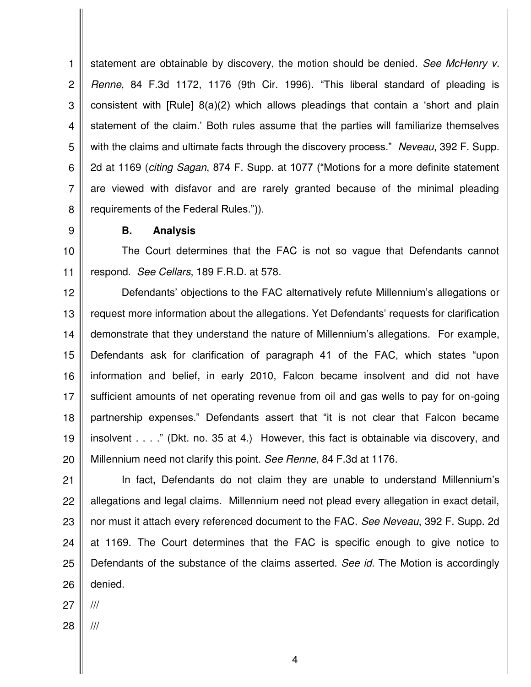1 2 3 4 5 6 7 8 statement are obtainable by discovery, the motion should be denied. *See McHenry v. Renne*, 84 F.3d 1172, 1176 (9th Cir. 1996). "This liberal standard of pleading is consistent with [Rule] 8(a)(2) which allows pleadings that contain a 'short and plain statement of the claim.' Both rules assume that the parties will familiarize themselves with the claims and ultimate facts through the discovery process." *Neveau*, 392 F. Supp. 2d at 1169 (*citing Sagan*, 874 F. Supp. at 1077 ("Motions for a more definite statement are viewed with disfavor and are rarely granted because of the minimal pleading requirements of the Federal Rules.")).

9

### **B. Analysis**

10 11 The Court determines that the FAC is not so vague that Defendants cannot respond. *See Cellars*, 189 F.R.D. at 578.

12 13 14 15 16 17 18 19 20 Defendants' objections to the FAC alternatively refute Millennium's allegations or request more information about the allegations. Yet Defendants' requests for clarification demonstrate that they understand the nature of Millennium's allegations. For example, Defendants ask for clarification of paragraph 41 of the FAC, which states "upon information and belief, in early 2010, Falcon became insolvent and did not have sufficient amounts of net operating revenue from oil and gas wells to pay for on-going partnership expenses." Defendants assert that "it is not clear that Falcon became insolvent . . . ." (Dkt. no. 35 at 4.) However, this fact is obtainable via discovery, and Millennium need not clarify this point. *See Renne*, 84 F.3d at 1176.

21 22 23 24 25 26 In fact, Defendants do not claim they are unable to understand Millennium's allegations and legal claims. Millennium need not plead every allegation in exact detail, nor must it attach every referenced document to the FAC. *See Neveau*, 392 F. Supp. 2d at 1169. The Court determines that the FAC is specific enough to give notice to Defendants of the substance of the claims asserted. *See id.* The Motion is accordingly denied.

27 ///

28 ///